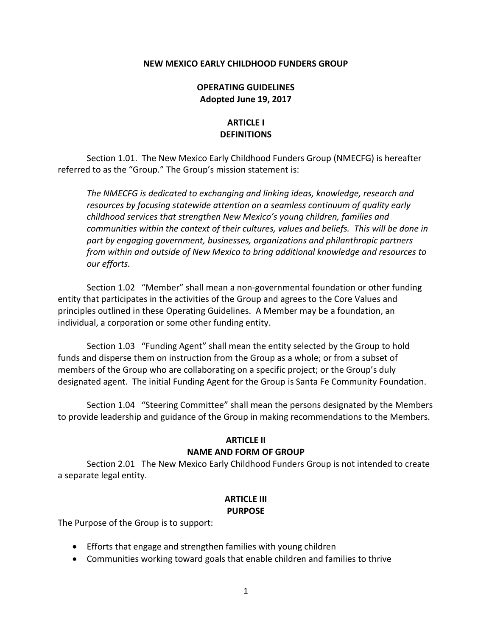## **NEW MEXICO EARLY CHILDHOOD FUNDERS GROUP**

## **OPERATING GUIDELINES Adopted June 19, 2017**

# **ARTICLE I DEFINITIONS**

Section 1.01. The New Mexico Early Childhood Funders Group (NMECFG) is hereafter referred to as the "Group." The Group's mission statement is:

*The NMECFG is dedicated to exchanging and linking ideas, knowledge, research and resources by focusing statewide attention on a seamless continuum of quality early childhood services that strengthen New Mexico's young children, families and communities within the context of their cultures, values and beliefs. This will be done in part by engaging government, businesses, organizations and philanthropic partners from within and outside of New Mexico to bring additional knowledge and resources to our efforts.*

Section 1.02 "Member" shall mean a non-governmental foundation or other funding entity that participates in the activities of the Group and agrees to the Core Values and principles outlined in these Operating Guidelines. A Member may be a foundation, an individual, a corporation or some other funding entity.

Section 1.03 "Funding Agent" shall mean the entity selected by the Group to hold funds and disperse them on instruction from the Group as a whole; or from a subset of members of the Group who are collaborating on a specific project; or the Group's duly designated agent. The initial Funding Agent for the Group is Santa Fe Community Foundation.

Section 1.04 "Steering Committee" shall mean the persons designated by the Members to provide leadership and guidance of the Group in making recommendations to the Members.

# **ARTICLE II NAME AND FORM OF GROUP**

Section 2.01 The New Mexico Early Childhood Funders Group is not intended to create a separate legal entity.

## **ARTICLE III PURPOSE**

The Purpose of the Group is to support:

- Efforts that engage and strengthen families with young children
- Communities working toward goals that enable children and families to thrive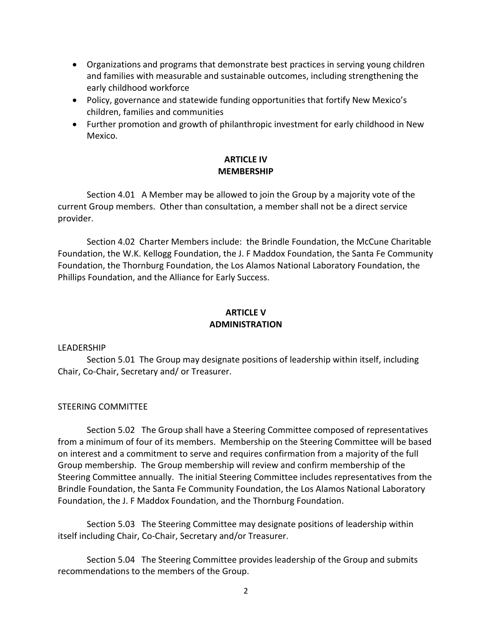- Organizations and programs that demonstrate best practices in serving young children and families with measurable and sustainable outcomes, including strengthening the early childhood workforce
- Policy, governance and statewide funding opportunities that fortify New Mexico's children, families and communities
- Further promotion and growth of philanthropic investment for early childhood in New Mexico.

# **ARTICLE IV MEMBERSHIP**

Section 4.01 A Member may be allowed to join the Group by a majority vote of the current Group members. Other than consultation, a member shall not be a direct service provider.

Section 4.02 Charter Members include: the Brindle Foundation, the McCune Charitable Foundation, the W.K. Kellogg Foundation, the J. F Maddox Foundation, the Santa Fe Community Foundation, the Thornburg Foundation, the Los Alamos National Laboratory Foundation, the Phillips Foundation, and the Alliance for Early Success.

# **ARTICLE V ADMINISTRATION**

## LEADERSHIP

Section 5.01 The Group may designate positions of leadership within itself, including Chair, Co-Chair, Secretary and/ or Treasurer.

# STEERING COMMITTEE

Section 5.02 The Group shall have a Steering Committee composed of representatives from a minimum of four of its members. Membership on the Steering Committee will be based on interest and a commitment to serve and requires confirmation from a majority of the full Group membership. The Group membership will review and confirm membership of the Steering Committee annually. The initial Steering Committee includes representatives from the Brindle Foundation, the Santa Fe Community Foundation, the Los Alamos National Laboratory Foundation, the J. F Maddox Foundation, and the Thornburg Foundation.

Section 5.03 The Steering Committee may designate positions of leadership within itself including Chair, Co-Chair, Secretary and/or Treasurer.

Section 5.04 The Steering Committee provides leadership of the Group and submits recommendations to the members of the Group.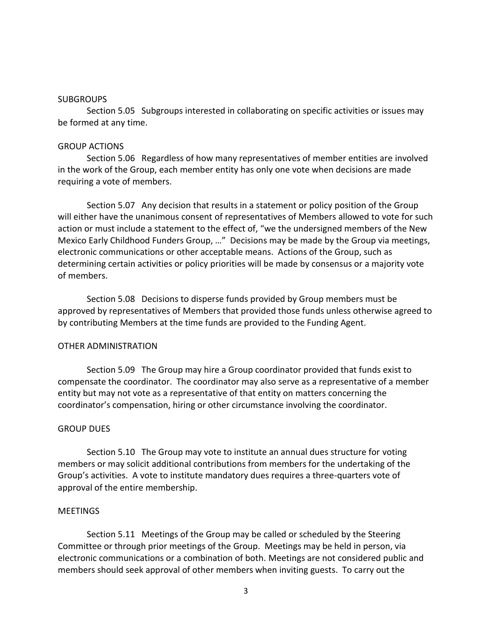#### SUBGROUPS

Section 5.05 Subgroups interested in collaborating on specific activities or issues may be formed at any time.

## GROUP ACTIONS

Section 5.06 Regardless of how many representatives of member entities are involved in the work of the Group, each member entity has only one vote when decisions are made requiring a vote of members.

Section 5.07 Any decision that results in a statement or policy position of the Group will either have the unanimous consent of representatives of Members allowed to vote for such action or must include a statement to the effect of, "we the undersigned members of the New Mexico Early Childhood Funders Group, …" Decisions may be made by the Group via meetings, electronic communications or other acceptable means. Actions of the Group, such as determining certain activities or policy priorities will be made by consensus or a majority vote of members.

Section 5.08 Decisions to disperse funds provided by Group members must be approved by representatives of Members that provided those funds unless otherwise agreed to by contributing Members at the time funds are provided to the Funding Agent.

## OTHER ADMINISTRATION

Section 5.09 The Group may hire a Group coordinator provided that funds exist to compensate the coordinator. The coordinator may also serve as a representative of a member entity but may not vote as a representative of that entity on matters concerning the coordinator's compensation, hiring or other circumstance involving the coordinator.

## GROUP DUES

Section 5.10 The Group may vote to institute an annual dues structure for voting members or may solicit additional contributions from members for the undertaking of the Group's activities. A vote to institute mandatory dues requires a three-quarters vote of approval of the entire membership.

## **MEETINGS**

Section 5.11 Meetings of the Group may be called or scheduled by the Steering Committee or through prior meetings of the Group. Meetings may be held in person, via electronic communications or a combination of both. Meetings are not considered public and members should seek approval of other members when inviting guests. To carry out the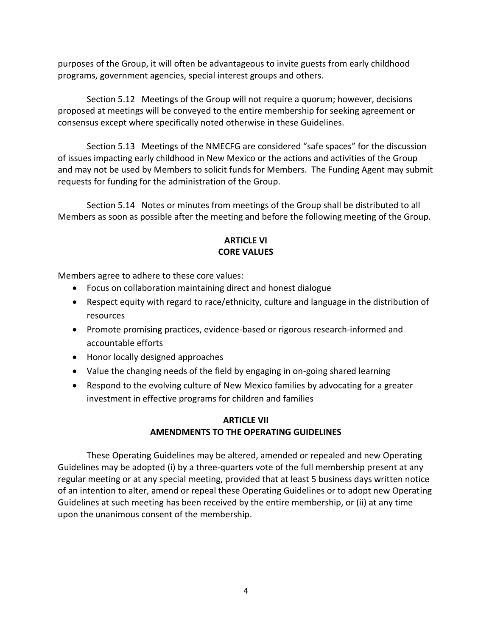purposes of the Group, it will often be advantageous to invite guests from early childhood programs, government agencies, special interest groups and others.

Section 5.12 Meetings of the Group will not require a quorum; however, decisions proposed at meetings will be conveyed to the entire membership for seeking agreement or consensus except where specifically noted otherwise in these Guidelines.

Section 5.13 Meetings of the NMECFG are considered "safe spaces" for the discussion of issues impacting early childhood in New Mexico or the actions and activities of the Group and may not be used by Members to solicit funds for Members. The Funding Agent may submit requests for funding for the administration of the Group.

Section 5.14 Notes or minutes from meetings of the Group shall be distributed to all Members as soon as possible after the meeting and before the following meeting of the Group.

# **ARTICLE VI CORE VALUES**

Members agree to adhere to these core values:

- Focus on collaboration maintaining direct and honest dialogue
- Respect equity with regard to race/ethnicity, culture and language in the distribution of resources
- Promote promising practices, evidence-based or rigorous research-informed and accountable efforts
- Honor locally designed approaches
- Value the changing needs of the field by engaging in on-going shared learning
- Respond to the evolving culture of New Mexico families by advocating for a greater investment in effective programs for children and families

# **ARTICLE VII AMENDMENTS TO THE OPERATING GUIDELINES**

These Operating Guidelines may be altered, amended or repealed and new Operating Guidelines may be adopted (i) by a three-quarters vote of the full membership present at any regular meeting or at any special meeting, provided that at least 5 business days written notice of an intention to alter, amend or repeal these Operating Guidelines or to adopt new Operating Guidelines at such meeting has been received by the entire membership, or (ii) at any time upon the unanimous consent of the membership.